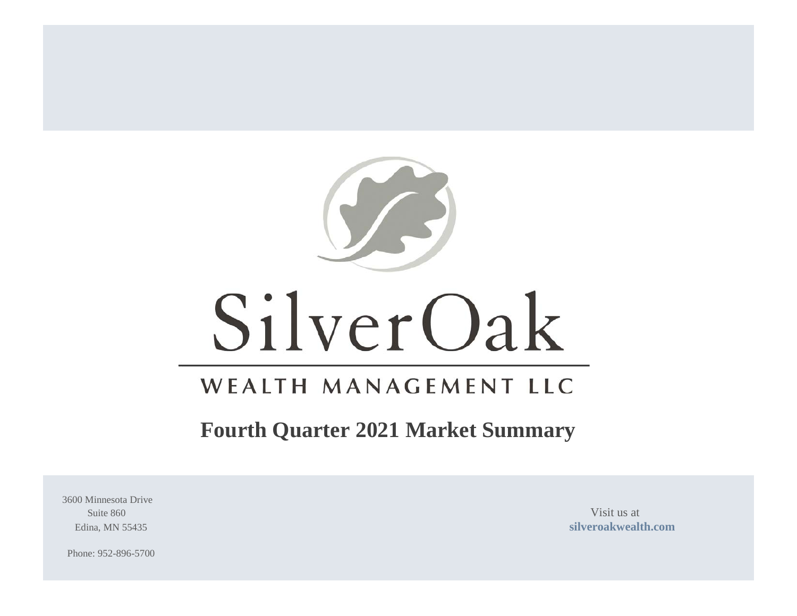

# SilverOak

# WEALTH MANAGEMENT LLC

# **Fourth Quarter 2021 Market Summary**

3600 Minnesota Drive Suite 860 Visit us at

Edina, MN 55435 **[silveroakwealth.com](http://www.silveroakwealth.com/silveroakwealth.aspx)**

Phone: 952-896-5700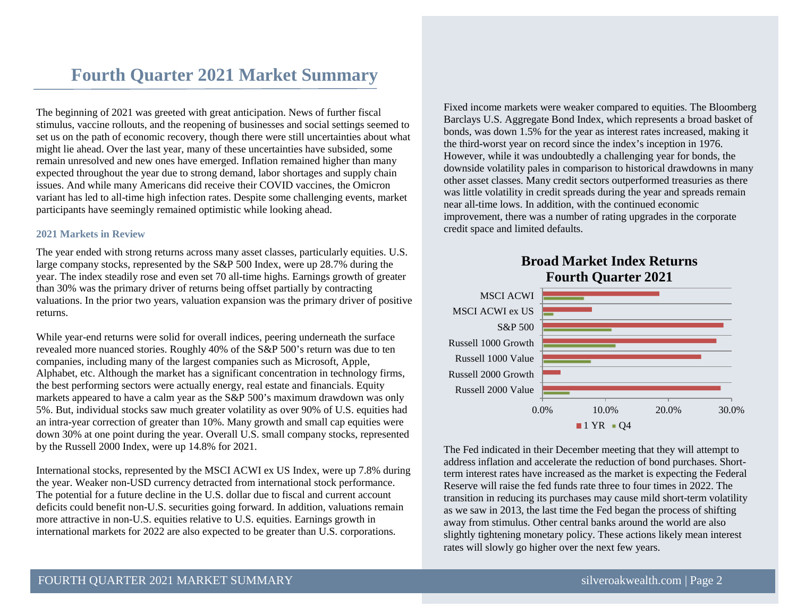## **Fourth Quarter 2021 Market Summary**

The beginning of 2021 was greeted with great anticipation. News of further fiscal stimulus, vaccine rollouts, and the reopening of businesses and social settings seemed to set us on the path of economic recovery, though there were still uncertainties about what might lie ahead. Over the last year, many of these uncertainties have subsided, some remain unresolved and new ones have emerged. Inflation remained higher than many expected throughout the year due to strong demand, labor shortages and supply chain issues. And while many Americans did receive their COVID vaccines, the Omicron variant has led to all-time high infection rates. Despite some challenging events, market participants have seemingly remained optimistic while looking ahead.

#### **2021 Markets in Review**

The year ended with strong returns across many asset classes, particularly equities. U.S. large company stocks, represented by the S&P 500 Index, were up 28.7% during the year. The index steadily rose and even set 70 all-time highs. Earnings growth of greater than 30% was the primary driver of returns being offset partially by contracting valuations. In the prior two years, valuation expansion was the primary driver of positive returns.

While year-end returns were solid for overall indices, peering underneath the surface revealed more nuanced stories. Roughly 40% of the S&P 500's return was due to ten companies, including many of the largest companies such as Microsoft, Apple, Alphabet, etc. Although the market has a significant concentration in technology firms, the best performing sectors were actually energy, real estate and financials. Equity markets appeared to have a calm year as the S&P 500's maximum drawdown was only 5%. But, individual stocks saw much greater volatility as over 90% of U.S. equities had an intra-year correction of greater than 10%. Many growth and small cap equities were down 30% at one point during the year. Overall U.S. small company stocks, represented by the Russell 2000 Index, were up 14.8% for 2021.

International stocks, represented by the MSCI ACWI ex US Index, were up 7.8% during the year. Weaker non-USD currency detracted from international stock performance. The potential for a future decline in the U.S. dollar due to fiscal and current account deficits could benefit non-U.S. securities going forward. In addition, valuations remain more attractive in non-U.S. equities relative to U.S. equities. Earnings growth in international markets for 2022 are also expected to be greater than U.S. corporations.

Fixed income markets were weaker compared to equities. The Bloomberg Barclays U.S. Aggregate Bond Index, which represents a broad basket of bonds, was down 1.5% for the year as interest rates increased, making it the third-worst year on record since the index's inception in 1976. However, while it was undoubtedly a challenging year for bonds, the downside volatility pales in comparison to historical drawdowns in many other asset classes. Many credit sectors outperformed treasuries as there was little volatility in credit spreads during the year and spreads remain near all-time lows. In addition, with the continued economic improvement, there was a number of rating upgrades in the corporate credit space and limited defaults.

### **Broad Market Index Returns Fourth Quarter 2021**



The Fed indicated in their December meeting that they will attempt to address inflation and accelerate the reduction of bond purchases. Shortterm interest rates have increased as the market is expecting the Federal Reserve will raise the fed funds rate three to four times in 2022. The transition in reducing its purchases may cause mild short-term volatility as we saw in 2013, the last time the Fed began the process of shifting away from stimulus. Other central banks around the world are also slightly tightening monetary policy. These actions likely mean interest rates will slowly go higher over the next few years.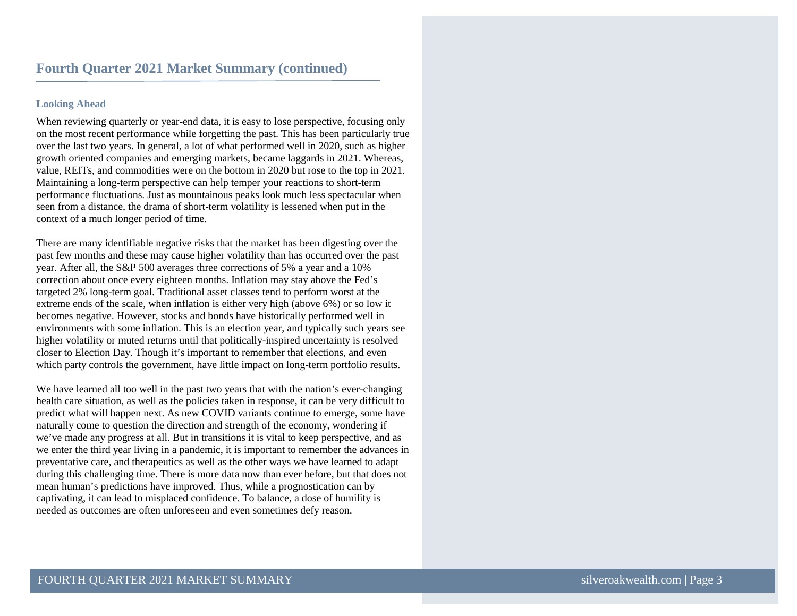#### **Looking Ahead**

When reviewing quarterly or year-end data, it is easy to lose perspective, focusing only on the most recent performance while forgetting the past. This has been particularly true over the last two years. In general, a lot of what performed well in 2020, such as higher growth oriented companies and emerging markets, became laggards in 2021. Whereas, value, REITs, and commodities were on the bottom in 2020 but rose to the top in 2021. Maintaining a long-term perspective can help temper your reactions to short-term performance fluctuations. Just as mountainous peaks look much less spectacular when seen from a distance, the drama of short-term volatility is lessened when put in the context of a much longer period of time.

There are many identifiable negative risks that the market has been digesting over the past few months and these may cause higher volatility than has occurred over the past year. After all, the S&P 500 averages three corrections of 5% a year and a 10% correction about once every eighteen months. Inflation may stay above the Fed's targeted 2% long-term goal. Traditional asset classes tend to perform worst at the extreme ends of the scale, when inflation is either very high (above 6%) or so low it becomes negative. However, stocks and bonds have historically performed well in environments with some inflation. This is an election year, and typically such years see higher volatility or muted returns until that politically-inspired uncertainty is resolved closer to Election Day. Though it's important to remember that elections, and even which party controls the government, have little impact on long-term portfolio results.

We have learned all too well in the past two years that with the nation's ever-changing health care situation, as well as the policies taken in response, it can be very difficult to predict what will happen next. As new COVID variants continue to emerge, some have naturally come to question the direction and strength of the economy, wondering if we've made any progress at all. But in transitions it is vital to keep perspective, and as we enter the third year living in a pandemic, it is important to remember the advances in preventative care, and therapeutics as well as the other ways we have learned to adapt during this challenging time. There is more data now than ever before, but that does not mean human's predictions have improved. Thus, while a prognostication can by captivating, it can lead to misplaced confidence. To balance, a dose of humility is needed as outcomes are often unforeseen and even sometimes defy reason.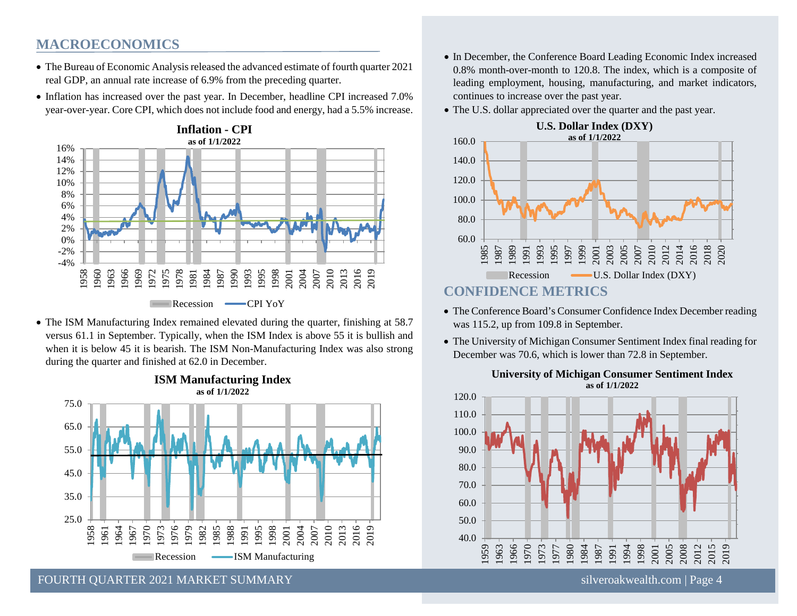#### **MACROECONOMICS**

- The Bureau of Economic Analysis released the advanced estimate of fourth quarter 2021 real GDP, an annual rate increase of 6.9% from the preceding quarter.
- Inflation has increased over the past year. In December, headline CPI increased 7.0% year-over-year. Core CPI, which does not include food and energy, had a 5.5% increase.



• The ISM Manufacturing Index remained elevated during the quarter, finishing at 58.7 versus 61.1 in September. Typically, when the ISM Index is above 55 it is bullish and when it is below 45 it is bearish. The ISM Non-Manufacturing Index was also strong during the quarter and finished at 62.0 in December.



**ISM Manufacturing Index**

- In December, the Conference Board Leading Economic Index increased 0.8% month-over-month to 120.8. The index, which is a composite of leading employment, housing, manufacturing, and market indicators, continues to increase over the past year.
- The U.S. dollar appreciated over the quarter and the past year.



- The Conference Board's Consumer Confidence Index December reading was 115.2, up from 109.8 in September.
- The University of Michigan Consumer Sentiment Index final reading for December was 70.6, which is lower than 72.8 in September.



#### **University of Michigan Consumer Sentiment Index as of 1/1/2022**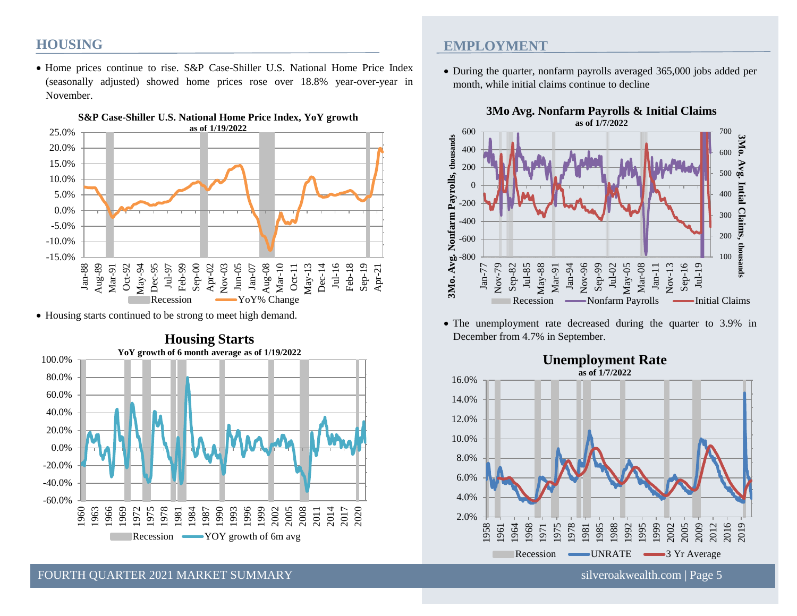#### **HOUSING**

• Home prices continue to rise. S&P Case-Shiller U.S. National Home Price Index (seasonally adjusted) showed home prices rose over 18.8% year-over-year in November.



• Housing starts continued to be strong to meet high demand.



## **S&P Case-Shiller U.S. National Home Price Index, YoY growth**

#### **EMPLOYMENT**

• During the quarter, nonfarm payrolls averaged 365,000 jobs added per month, while initial claims continue to decline



• The unemployment rate decreased during the quarter to 3.9% in December from 4.7% in September.



## **Unemployment Rate**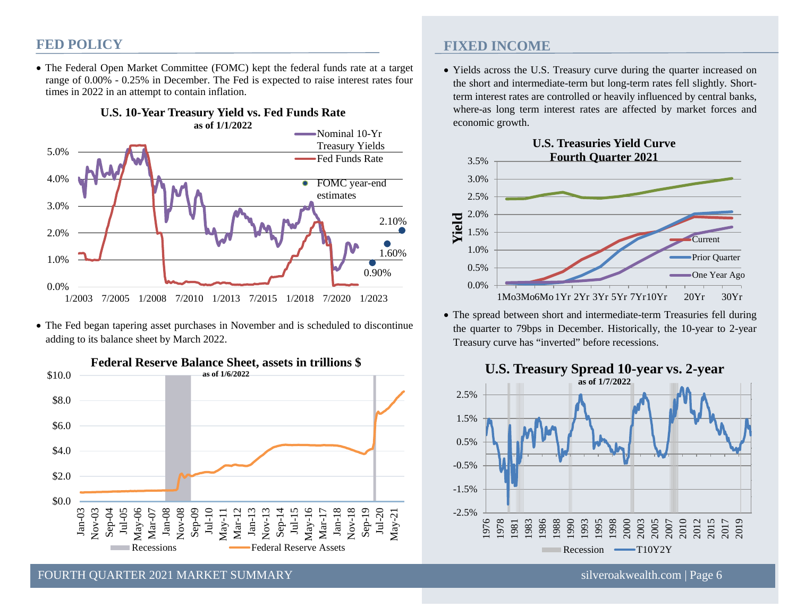#### **FED POLICY**

• The Federal Open Market Committee (FOMC) kept the federal funds rate at a target range of 0.00% - 0.25% in December. The Fed is expected to raise interest rates four times in 2022 in an attempt to contain inflation.



• The Fed began tapering asset purchases in November and is scheduled to discontinue adding to its balance sheet by March 2022.



**FIXED INCOME**

• Yields across the U.S. Treasury curve during the quarter increased on the short and intermediate-term but long-term rates fell slightly. Shortterm interest rates are controlled or heavily influenced by central banks, where-as long term interest rates are affected by market forces and economic growth.



• The spread between short and intermediate-term Treasuries fell during the quarter to 79bps in December. Historically, the 10-year to 2-year Treasury curve has "inverted" before recessions.



FOURTH OUARTER 2021 MARKET SUMMARY SILVEROLLY SILVEROLLY SILVEROAKWEALTH.COM | Page 6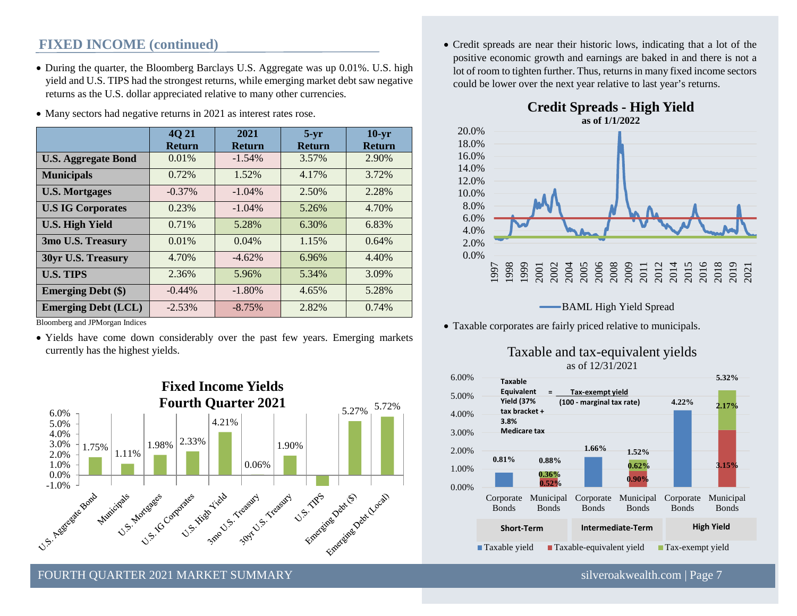#### **FIXED INCOME (continued)**

• During the quarter, the Bloomberg Barclays U.S. Aggregate was up 0.01%. U.S. high yield and U.S. TIPS had the strongest returns, while emerging market debt saw negative returns as the U.S. dollar appreciated relative to many other currencies.

|                            | 4Q 21         | 2021          | $5-yr$        | $10-yr$       |
|----------------------------|---------------|---------------|---------------|---------------|
|                            | <b>Return</b> | <b>Return</b> | <b>Return</b> | <b>Return</b> |
| <b>U.S. Aggregate Bond</b> | $0.01\%$      | $-1.54\%$     | 3.57%         | 2.90%         |
| <b>Municipals</b>          | 0.72%         | 1.52%         | 4.17%         | 3.72%         |
| <b>U.S. Mortgages</b>      | $-0.37\%$     | $-1.04\%$     | 2.50%         | 2.28%         |
| <b>U.S IG Corporates</b>   | 0.23%         | $-1.04%$      | 5.26%         | 4.70%         |
| <b>U.S. High Yield</b>     | 0.71%         | 5.28%         | 6.30%         | 6.83%         |
| 3mo U.S. Treasury          | 0.01%         | 0.04%         | 1.15%         | 0.64%         |
| 30yr U.S. Treasury         | 4.70%         | $-4.62%$      | 6.96%         | 4.40%         |
| <b>U.S. TIPS</b>           | 2.36%         | 5.96%         | 5.34%         | 3.09%         |
| <b>Emerging Debt (\$)</b>  | $-0.44\%$     | $-1.80\%$     | 4.65%         | 5.28%         |
| <b>Emerging Debt (LCL)</b> | $-2.53\%$     | $-8.75%$      | 2.82%         | 0.74%         |

• Many sectors had negative returns in 2021 as interest rates rose.

Bloomberg and JPMorgan Indices

• Yields have come down considerably over the past few years. Emerging markets currently has the highest yields.



• Credit spreads are near their historic lows, indicating that a lot of the positive economic growth and earnings are baked in and there is not a lot of room to tighten further. Thus, returns in many fixed income sectors could be lower over the next year relative to last year's returns.





**BAML** High Yield Spread

• Taxable corporates are fairly priced relative to municipals.



Taxable and tax-equivalent yields as of 12/31/2021

FOURTH OUARTER 2021 MARKET SUMMARY SILVER AND SILVER SILVER SILVER SILVER SILVER SILVER SILVER SILVER SILVER SILVER SILVER SILVER SILVER SILVER SILVER SILVER SILVER SILVER SILVER SILVER SILVER SILVER SILVER SILVER SILVER S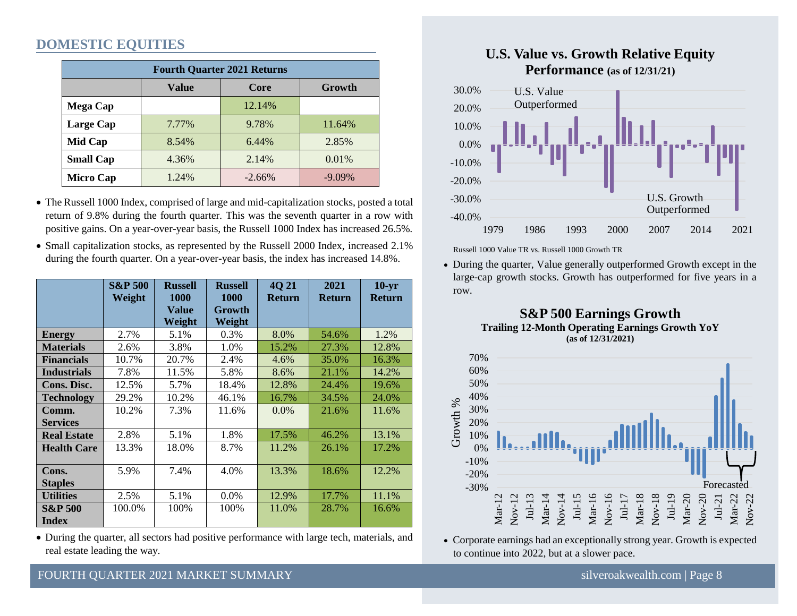### **DOMESTIC EQUITIES**

| <b>Fourth Quarter 2021 Returns</b> |              |          |           |  |  |  |  |  |  |
|------------------------------------|--------------|----------|-----------|--|--|--|--|--|--|
|                                    | <b>Value</b> | Core     | Growth    |  |  |  |  |  |  |
| <b>Mega Cap</b>                    |              | 12.14%   |           |  |  |  |  |  |  |
| Large Cap                          | 7.77%        | 9.78%    | 11.64%    |  |  |  |  |  |  |
| Mid Cap                            | 8.54%        | 6.44%    | 2.85%     |  |  |  |  |  |  |
| <b>Small Cap</b>                   | 4.36%        | 2.14%    | 0.01%     |  |  |  |  |  |  |
| <b>Micro Cap</b>                   | 1.24%        | $-2.66%$ | $-9.09\%$ |  |  |  |  |  |  |

• The Russell 1000 Index, comprised of large and mid-capitalization stocks, posted a total return of 9.8% during the fourth quarter. This was the seventh quarter in a row with positive gains. On a year-over-year basis, the Russell 1000 Index has increased 26.5%.

• Small capitalization stocks, as represented by the Russell 2000 Index, increased 2.1% during the fourth quarter. On a year-over-year basis, the index has increased 14.8%.

|                    | <b>S&amp;P 500</b> | <b>Russell</b> | <b>Russell</b> | <b>4021</b>   | 2021          | $10-yr$       |
|--------------------|--------------------|----------------|----------------|---------------|---------------|---------------|
|                    | Weight             | <b>1000</b>    | 1000           | <b>Return</b> | <b>Return</b> | <b>Return</b> |
|                    |                    | <b>Value</b>   | Growth         |               |               |               |
|                    |                    | Weight         | Weight         |               |               |               |
| <b>Energy</b>      | 2.7%               | 5.1%           | 0.3%           | 8.0%          | 54.6%         | 1.2%          |
| <b>Materials</b>   | 2.6%               | 3.8%           | 1.0%           | 15.2%         | 27.3%         | 12.8%         |
| <b>Financials</b>  | 10.7%              | 20.7%          | 2.4%           | 4.6%          | 35.0%         | 16.3%         |
| <b>Industrials</b> | 7.8%               | 11.5%          | 5.8%           | 8.6%          | 21.1%         | 14.2%         |
| Cons. Disc.        | 12.5%              | 5.7%           | 18.4%          | 12.8%         | 24.4%         | 19.6%         |
| <b>Technology</b>  | 29.2%              | 10.2%          | 46.1%          | 16.7%         | 34.5%         | 24.0%         |
| Comm.              | 10.2%              | 7.3%           | 11.6%          | $0.0\%$       | 21.6%         | 11.6%         |
| <b>Services</b>    |                    |                |                |               |               |               |
| <b>Real Estate</b> | 2.8%               | 5.1%           | 1.8%           | 17.5%         | 46.2%         | 13.1%         |
| <b>Health Care</b> | 13.3%              | 18.0%          | 8.7%           | 11.2%         | 26.1%         | 17.2%         |
|                    |                    |                |                |               |               |               |
| Cons.              | 5.9%               | 7.4%           | 4.0%           | 13.3%         | 18.6%         | 12.2%         |
| <b>Staples</b>     |                    |                |                |               |               |               |
| <b>Utilities</b>   | 2.5%               | 5.1%           | $0.0\%$        | 12.9%         | 17.7%         | 11.1%         |
| <b>S&amp;P 500</b> | 100.0%             | 100%           | 100%           | 11.0%         | 28.7%         | 16.6%         |
| <b>Index</b>       |                    |                |                |               |               |               |

• During the quarter, all sectors had positive performance with large tech, materials, and real estate leading the way.



Russell 1000 Value TR vs. Russell 1000 Growth TR

 $\frac{1}{2}$ large-cap growth stocks. Growth has outperformed for five years in a • During the quarter, Value generally outperformed Growth except in the row.





• Corporate earnings had an exceptionally strong year. Growth is expected to continue into 2022, but at a slower pace. to continue into 2022, but at a slower pace.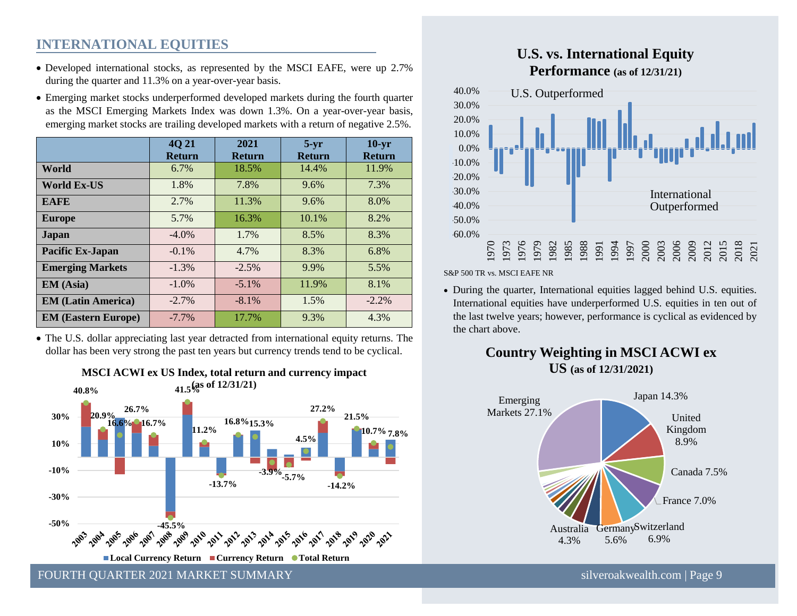## **INTERNATIONAL EQUITIES**

- Developed international stocks, as represented by the MSCI EAFE, were up 2.7% during the quarter and 11.3% on a year-over-year basis.
- Emerging market stocks underperformed developed markets during the fourth quarter as the MSCI Emerging Markets Index was down 1.3%. On a year-over-year basis, emerging market stocks are trailing developed markets with a return of negative 2.5%.

|                            | <b>4021</b><br><b>Return</b> | 2021<br><b>Return</b> | $5-yr$<br><b>Return</b> | $10 - yr$<br><b>Return</b> |
|----------------------------|------------------------------|-----------------------|-------------------------|----------------------------|
| World                      | 6.7%                         | 18.5%                 | 14.4%                   | 11.9%                      |
| <b>World Ex-US</b>         | 1.8%                         | 7.8%                  | 9.6%                    | 7.3%                       |
| <b>EAFE</b>                | 2.7%                         | 11.3%                 | 9.6%                    | 8.0%                       |
| <b>Europe</b>              | 5.7%                         | 16.3%                 | 10.1%                   | 8.2%                       |
| Japan                      | $-4.0\%$                     | 1.7%                  | 8.5%                    | 8.3%                       |
| Pacific Ex-Japan           | $-0.1\%$                     | 4.7%                  | 8.3%                    | 6.8%                       |
| <b>Emerging Markets</b>    | $-1.3%$                      | $-2.5%$               | 9.9%                    | 5.5%                       |
| <b>EM</b> (Asia)           | $-1.0\%$                     | $-5.1\%$              | 11.9%                   | 8.1%                       |
| <b>EM (Latin America)</b>  | $-2.7%$                      | $-8.1%$               | 1.5%                    | $-2.2\%$                   |
| <b>EM (Eastern Europe)</b> | $-7.7%$                      | 17.7%                 | 9.3%                    | 4.3%                       |

• The U.S. dollar appreciating last year detracted from international equity returns. The dollar has been very strong the past ten years but currency trends tend to be cyclical.





#### **U.S. vs. International Equity Performance (as of 12/31/21)**



S&P 500 TR vs. MSCI EAFE NR

• During the quarter, International equities lagged behind U.S. equities. International equities have underperformed U.S. equities in ten out of the last twelve years; however, performance is cyclical as evidenced by the chart above.





FOURTH OUARTER 2021 MARKET SUMMARY SILVER AND SILVER SILVER SILVER SILVER SILVER SILVER SILVER SILVER SILVER S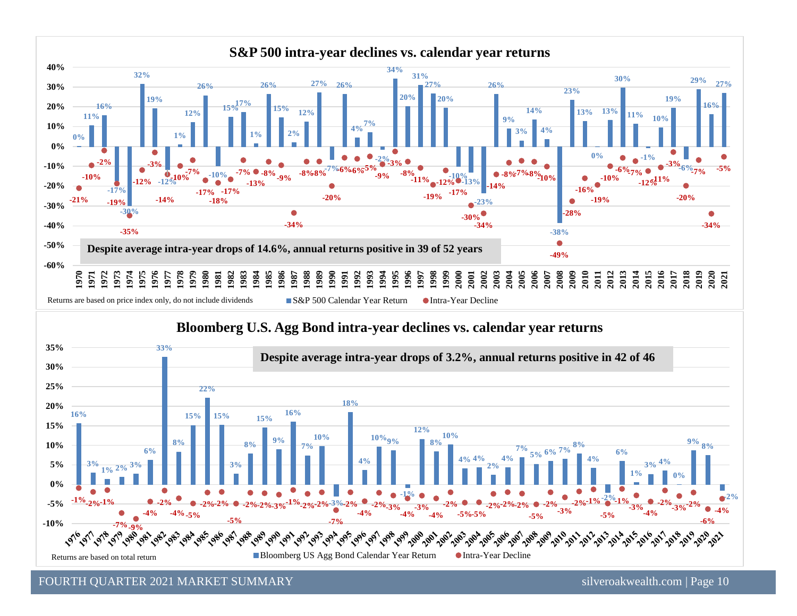



FOURTH QUARTER 2021 MARKET SUMMARY [silveroakwealth.com](http://www.silveroakwealth.com/silveroakwealth.aspx) | Page 10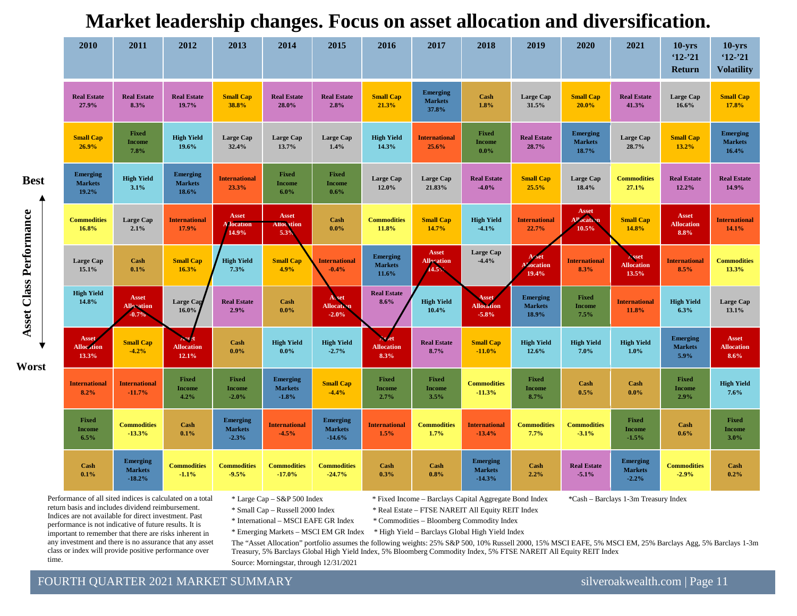| 2010                                       | 2011                                          | 2012                                       | 2013                                         | 2014                                         | 2015                                          | 2016                                       | 2017                                       | 2018                                          | 2019                                       | 2020                                       | 2021                                         | $10 - yrs$<br>$12 - 21$<br>Return         | $10 - yrs$<br>$12 - 21$<br><b>Volatility</b> |
|--------------------------------------------|-----------------------------------------------|--------------------------------------------|----------------------------------------------|----------------------------------------------|-----------------------------------------------|--------------------------------------------|--------------------------------------------|-----------------------------------------------|--------------------------------------------|--------------------------------------------|----------------------------------------------|-------------------------------------------|----------------------------------------------|
| <b>Real Estate</b><br>27.9%                | <b>Real Estate</b><br>8.3%                    | <b>Real Estate</b><br>19.7%                | <b>Small Cap</b><br>38.8%                    | <b>Real Estate</b><br>28.0%                  | <b>Real Estate</b><br>2.8%                    | <b>Small Cap</b><br>21.3%                  | <b>Emerging</b><br><b>Markets</b><br>37.8% | Cash<br>1.8%                                  | Large Cap<br>31.5%                         | <b>Small Cap</b><br>20.0%                  | <b>Real Estate</b><br>41.3%                  | Large Cap<br>16.6%                        | <b>Small Cap</b><br>17.8%                    |
| <b>Small Cap</b><br>26.9%                  | <b>Fixed</b><br><b>Income</b><br>7.8%         | <b>High Yield</b><br>19.6%                 | Large Cap<br>32.4%                           | <b>Large Cap</b><br>13.7%                    | <b>Large Cap</b><br>1.4%                      | <b>High Yield</b><br>14.3%                 | <b>International</b><br>25.6%              | Fixed<br><b>Income</b><br>$0.0\%$             | <b>Real Estate</b><br>28.7%                | <b>Emerging</b><br><b>Markets</b><br>18.7% | Large Cap<br>28.7%                           | <b>Small Cap</b><br>13.2%                 | <b>Emerging</b><br><b>Markets</b><br>16.4%   |
| <b>Emerging</b><br><b>Markets</b><br>19.2% | <b>High Yield</b><br>3.1%                     | <b>Emerging</b><br><b>Markets</b><br>18.6% | <b>International</b><br>23.3%                | <b>Fixed</b><br><b>Income</b><br>$6.0\%$     | Fixed<br><b>Income</b><br>$0.6\%$             | <b>Large Cap</b><br>12.0%                  | <b>Large Cap</b><br>21.83%                 | <b>Real Estate</b><br>$-4.0%$                 | <b>Small Cap</b><br>25.5%                  | Large Cap<br>18.4%                         | <b>Commodities</b><br>27.1%                  | <b>Real Estate</b><br>12.2%               | <b>Real Estate</b><br>14.9%                  |
| <b>Commodities</b><br>16.8%                | <b>Large Cap</b><br>2.1%                      | <b>International</b><br>17.9%              | Asset<br><b>Mocation</b><br>14.9%            | Asset<br><b>Allocation</b><br>5.3%           | Cash<br>$0.0\%$                               | <b>Commodities</b><br>11.8%                | <b>Small Cap</b><br>14.7%                  | <b>High Yield</b><br>$-4.1%$                  | <b>International</b><br>22.7%              | Asset<br>Allocation<br>10.5%               | <b>Small Cap</b><br>14.8%                    | <b>Asset</b><br><b>Allocation</b><br>8.8% | <b>International</b><br>14.1%                |
| Large Cap<br>15.1%                         | Cash<br>0.1%                                  | <b>Small Cap</b><br>16.3%                  | <b>High Yield</b><br>7.3%                    | <b>Small Cap</b><br>4.9%                     | <b>International</b><br>$-0.4%$               | <b>Emerging</b><br><b>Markets</b><br>11.6% | <b>Asset</b><br><b>Allocation</b><br>14.5% | Large Cap<br>$-4.4%$                          | Asset<br><b>location</b><br>19.4%          | <b>International</b><br>8.3%               | Asset<br><b>Allocation</b><br>13.5%          | <b>International</b><br>8.5%              | <b>Commodities</b><br>13.3%                  |
| <b>High Yield</b><br>14.8%                 | Asset<br><b>Allocation</b><br>$-0.7%$         | Large Cap<br>16.0%                         | <b>Real Estate</b><br>2.9%                   | Cash<br>$0.0\%$                              | Asset<br><b>Allocation</b><br>$-2.0%$         | <b>Real Estate</b><br>8.6%                 | <b>High Yield</b><br>10.4%                 | <b>Asset</b><br><b>Allocation</b><br>$-5.8%$  | <b>Emerging</b><br><b>Markets</b><br>18.9% | Fixed<br><b>Income</b><br>7.5%             | <b>International</b><br>11.8%                | <b>High Yield</b><br>6.3%                 | <b>Large Cap</b><br>13.1%                    |
| <b>Asset</b><br><b>Allocation</b><br>13.3% | <b>Small Cap</b><br>$-4.2%$                   | <b>Allocation</b><br>12.1%                 | Cash<br>$0.0\%$                              | <b>High Yield</b><br>$0.0\%$                 | <b>High Yield</b><br>$-2.7%$                  | <b>Allocation</b><br>8.3%                  | <b>Real Estate</b><br>8.7%                 | <b>Small Cap</b><br>$-11.0%$                  | <b>High Yield</b><br>12.6%                 | <b>High Yield</b><br>7.0%                  | <b>High Yield</b><br>$1.0\%$                 | <b>Emerging</b><br><b>Markets</b><br>5.9% | Asset<br><b>Allocation</b><br>8.6%           |
| <b>International</b><br>8.2%               | <b>International</b><br>$-11.7%$              | <b>Fixed</b><br><b>Income</b><br>4.2%      | Fixed<br><b>Income</b><br>$-2.0%$            | <b>Emerging</b><br><b>Markets</b><br>$-1.8%$ | <b>Small Cap</b><br>$-4.4%$                   | <b>Fixed</b><br><b>Income</b><br>2.7%      | Fixed<br><b>Income</b><br>3.5%             | <b>Commodities</b><br>$-11.3%$                | <b>Fixed</b><br>Income<br>8.7%             | Cash<br>0.5%                               | Cash<br>$0.0\%$                              | <b>Fixed</b><br><b>Income</b><br>2.9%     | <b>High Yield</b><br>7.6%                    |
| Fixed<br><b>Income</b><br>6.5%             | <b>Commodities</b><br>$-13.3%$                | Cash<br>0.1%                               | <b>Emerging</b><br><b>Markets</b><br>$-2.3%$ | <b>International</b><br>$-4.5%$              | <b>Emerging</b><br><b>Markets</b><br>$-14.6%$ | <b>International</b><br>1.5%               | <b>Commodities</b><br>1.7%                 | <b>International</b><br>$-13.4%$              | <b>Commodities</b><br>7.7%                 | <b>Commodities</b><br>$-3.1%$              | Fixed<br><b>Income</b><br>$-1.5%$            | Cash<br>0.6%                              | <b>Fixed</b><br><b>Income</b><br>3.0%        |
| Cash<br>0.1%                               | <b>Emerging</b><br><b>Markets</b><br>$-18.2%$ | <b>Commodities</b><br>$-1.1%$              | <b>Commodities</b><br>$-9.5%$                | <b>Commodities</b><br>$-17.0%$               | <b>Commodities</b><br>$-24.7%$                | Cash<br>0.3%                               | Cash<br>0.8%                               | <b>Emerging</b><br><b>Markets</b><br>$-14.3%$ | Cash<br>2.2%                               | <b>Real Estate</b><br>$-5.1%$              | <b>Emerging</b><br><b>Markets</b><br>$-2.2%$ | <b>Commodities</b><br>$-2.9%$             | Cash<br>0.2%                                 |

**Market leadership changes. Focus on asset allocation and diversification.**

Performance of all sited indices is calculated on a total return basis and includes dividend reimbursement. Indices are not available for direct investment. Past performance is not indicative of future results. It is important to remember that there are risks inherent in any investment and there is no assurance that any asset class or index will provide positive performance over time.

**Asset Class Performance**

Asset Class Performance

**Worst**

**Best**

\* Small Cap – Russell 2000 Index \* Real Estate – FTSE NAREIT All Equity REIT Index

\* Large Cap – S&P 500 Index \* Fixed Income – Barclays Capital Aggregate Bond Index \*Cash – Barclays 1-3m Treasury Index

\* International – MSCI EAFE GR Index \* Commodities – Bloomberg Commodity Index

\* Emerging Markets – MSCI EM GR Index \* High Yield – Barclays Global High Yield Index

The "Asset Allocation" portfolio assumes the following weights: 25% S&P 500, 10% Russell 2000, 15% MSCI EAFE, 5% MSCI EM, 25% Barclays Agg, 5% Barclays 1-3m Treasury, 5% Barclays Global High Yield Index, 5% Bloomberg Commodity Index, 5% FTSE NAREIT All Equity REIT Index Source: Morningstar, through 12/31/2021